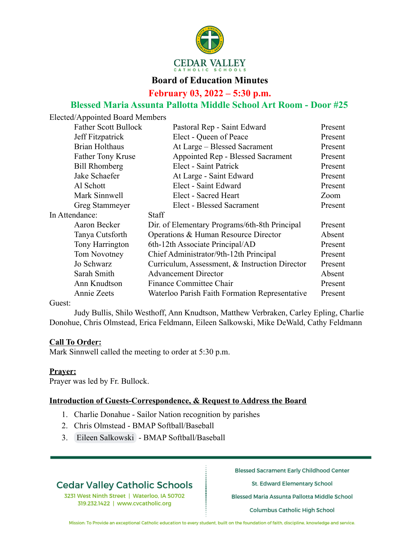

### **Board of Education Minutes**

### **February 03, 2022 – 5:30 p.m.**

### **Blessed Maria Assunta Pallotta Middle School Art Room - Door #25**

Elected/Appointed Board Members Father Scott Bullock Pastoral Rep - Saint Edward Present Jeff Fitzpatrick Elect - Queen of Peace Present Brian Holthaus At Large – Blessed Sacrament Present Father Tony Kruse **Appointed Rep - Blessed Sacrament** Present Bill Rhomberg Elect - Saint Patrick Present Jake Schaefer At Large - Saint Edward Present Al Schott Elect - Saint Edward Present Mark Sinnwell Elect - Sacred Heart Zoom Greg Stammeyer Elect - Blessed Sacrament Present In Attendance: Staff Aaron Becker Dir. of Elementary Programs/6th-8th Principal Present Tanya Cutsforth Operations & Human Resource Director Absent Tony Harrington 6th-12th Associate Principal/AD Present Tom Novotney Chief Administrator/9th-12th Principal Present Jo Schwarz Curriculum, Assessment, & Instruction Director Present Sarah Smith Advancement Director Absent Ann Knudtson Finance Committee Chair Present Annie Zeets Waterloo Parish Faith Formation Representative Present

Guest:

Judy Bullis, Shilo Westhoff, Ann Knudtson, Matthew Verbraken, Carley Epling, Charlie Donohue, Chris Olmstead, Erica Feldmann, Eileen Salkowski, Mike DeWald, Cathy Feldmann

#### **Call To Order:**

Mark Sinnwell called the meeting to order at 5:30 p.m.

#### **Prayer:**

Prayer was led by Fr. Bullock.

#### **Introduction of Guests-Correspondence, & Request to Address the Board**

- 1. Charlie Donahue Sailor Nation recognition by parishes
- 2. Chris Olmstead BMAP Softball/Baseball
- 3. [Eileen Salkowski](mailto:eileen.hoffmann@gmail.com) BMAP Softball/Baseball

# **Cedar Valley Catholic Schools**

3231 West Ninth Street | Waterloo, IA 50702 319.232.1422 | www.cvcatholic.org

**Blessed Sacrament Early Childhood Center** 

St. Edward Elementary School

Blessed Maria Assunta Pallotta Middle School

**Columbus Catholic High School**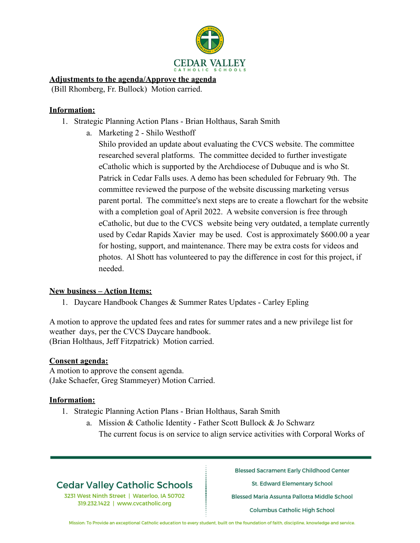

#### **Adjustments to the agenda/Approve the agenda**

(Bill Rhomberg, Fr. Bullock) Motion carried.

#### **Information:**

- 1. Strategic Planning Action Plans Brian Holthaus, Sarah Smith
	- a. Marketing 2 Shilo Westhoff

Shilo provided an update about evaluating the CVCS website. The committee researched several platforms. The committee decided to further investigate eCatholic which is supported by the Archdiocese of Dubuque and is who St. Patrick in Cedar Falls uses. A demo has been scheduled for February 9th. The committee reviewed the purpose of the website discussing marketing versus parent portal. The committee's next steps are to create a flowchart for the website with a completion goal of April 2022. A website conversion is free through eCatholic, but due to the CVCS website being very outdated, a template currently used by Cedar Rapids Xavier may be used. Cost is approximately \$600.00 a year for hosting, support, and maintenance. There may be extra costs for videos and photos. Al Shott has volunteered to pay the difference in cost for this project, if needed.

### **New business – Action Items:**

1. Daycare Handbook Changes & Summer Rates Updates - Carley Epling

A motion to approve the updated fees and rates for summer rates and a new privilege list for weather days, per the CVCS Daycare handbook. (Brian Holthaus, Jeff Fitzpatrick) Motion carried.

### **Consent agenda:**

A motion to approve the consent agenda. (Jake Schaefer, Greg Stammeyer) Motion Carried.

#### **Information:**

- 1. Strategic Planning Action Plans Brian Holthaus, Sarah Smith
	- a. Mission & Catholic Identity Father Scott Bullock & Jo Schwarz The current focus is on service to align service activities with Corporal Works of

# **Cedar Valley Catholic Schools**

3231 West Ninth Street | Waterloo, IA 50702 319.232.1422 | www.cvcatholic.org

**Blessed Sacrament Early Childhood Center** 

St. Edward Elementary School

Blessed Maria Assunta Pallotta Middle School

**Columbus Catholic High School**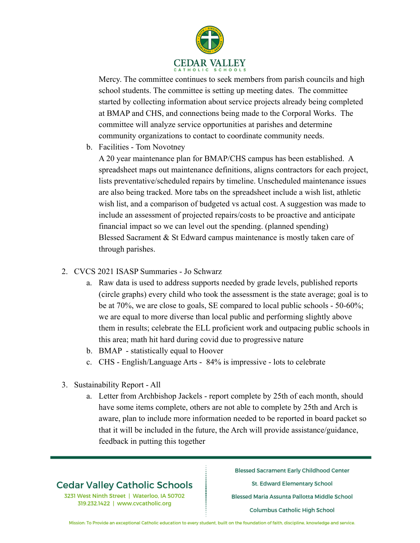

Mercy. The committee continues to seek members from parish councils and high school students. The committee is setting up meeting dates. The committee started by collecting information about service projects already being completed at BMAP and CHS, and connections being made to the Corporal Works. The committee will analyze service opportunities at parishes and determine community organizations to contact to coordinate community needs.

b. Facilities - Tom Novotney

A 20 year maintenance plan for BMAP/CHS campus has been established. A spreadsheet maps out maintenance definitions, aligns contractors for each project, lists preventative/scheduled repairs by timeline. Unscheduled maintenance issues are also being tracked. More tabs on the spreadsheet include a wish list, athletic wish list, and a comparison of budgeted vs actual cost. A suggestion was made to include an assessment of projected repairs/costs to be proactive and anticipate financial impact so we can level out the spending. (planned spending) Blessed Sacrament & St Edward campus maintenance is mostly taken care of through parishes.

- 2. CVCS 2021 ISASP Summaries Jo Schwarz
	- a. Raw data is used to address supports needed by grade levels, published reports (circle graphs) every child who took the assessment is the state average; goal is to be at 70%, we are close to goals, SE compared to local public schools - 50-60%; we are equal to more diverse than local public and performing slightly above them in results; celebrate the ELL proficient work and outpacing public schools in this area; math hit hard during covid due to progressive nature
	- b. BMAP statistically equal to Hoover
	- c. CHS English/Language Arts 84% is impressive lots to celebrate
- 3. Sustainability Report All
	- a. Letter from Archbishop Jackels report complete by 25th of each month, should have some items complete, others are not able to complete by 25th and Arch is aware, plan to include more information needed to be reported in board packet so that it will be included in the future, the Arch will provide assistance/guidance, feedback in putting this together

# **Cedar Valley Catholic Schools**

3231 West Ninth Street | Waterloo, IA 50702 319.232.1422 | www.cvcatholic.org

**Blessed Sacrament Early Childhood Center** 

St. Edward Elementary School

Blessed Maria Assunta Pallotta Middle School

**Columbus Catholic High School**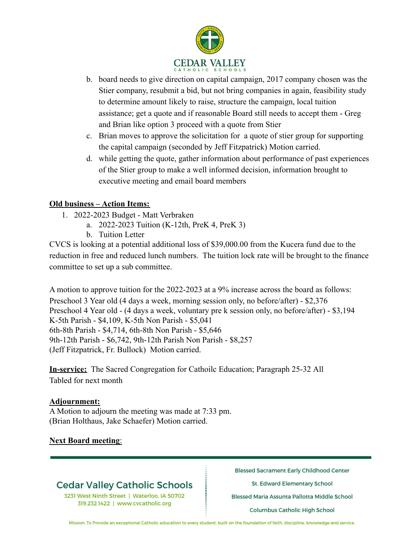

- b. board needs to give direction on capital campaign, 2017 company chosen was the Stier company, resubmit a bid, but not bring companies in again, feasibility study to determine amount likely to raise, structure the campaign, local tuition assistance; get a quote and if reasonable Board still needs to accept them - Greg and Brian like option 3 proceed with a quote from Stier
- c. Brian moves to approve the solicitation for a quote of stier group for supporting the capital campaign (seconded by Jeff Fitzpatrick) Motion carried.
- d. while getting the quote, gather information about performance of past experiences of the Stier group to make a well informed decision, information brought to executive meeting and email board members

### **Old business – Action Items:**

- 1. 2022-2023 Budget Matt Verbraken
	- a. 2022-2023 Tuition (K-12th, PreK 4, PreK 3)
	- b. Tuition Letter

CVCS is looking at a potential additional loss of \$39,000.00 from the Kucera fund due to the reduction in free and reduced lunch numbers. The tuition lock rate will be brought to the finance committee to set up a sub committee.

A motion to approve tuition for the 2022-2023 at a 9% increase across the board as follows: Preschool 3 Year old (4 days a week, morning session only, no before/after) - \$2,376 Preschool 4 Year old - (4 days a week, voluntary pre k session only, no before/after) - \$3,194 K-5th Parish - \$4,109, K-5th Non Parish - \$5,041 6th-8th Parish - \$4,714, 6th-8th Non Parish - \$5,646 9th-12th Parish - \$6,742, 9th-12th Parish Non Parish - \$8,257 (Jeff Fitzpatrick, Fr. Bullock) Motion carried.

**In-service:** The Sacred Congregation for Cathoilc Education; Paragraph 25-32 All Tabled for next month

### **Adjournment:**

A Motion to adjourn the meeting was made at 7:33 pm. (Brian Holthaus, Jake Schaefer) Motion carried.

### **Next Board meeting**:

# **Cedar Valley Catholic Schools**

3231 West Ninth Street | Waterloo, IA 50702 319.232.1422 | www.cvcatholic.org

**Blessed Sacrament Early Childhood Center** 

St. Edward Elementary School

Blessed Maria Assunta Pallotta Middle School

**Columbus Catholic High School**